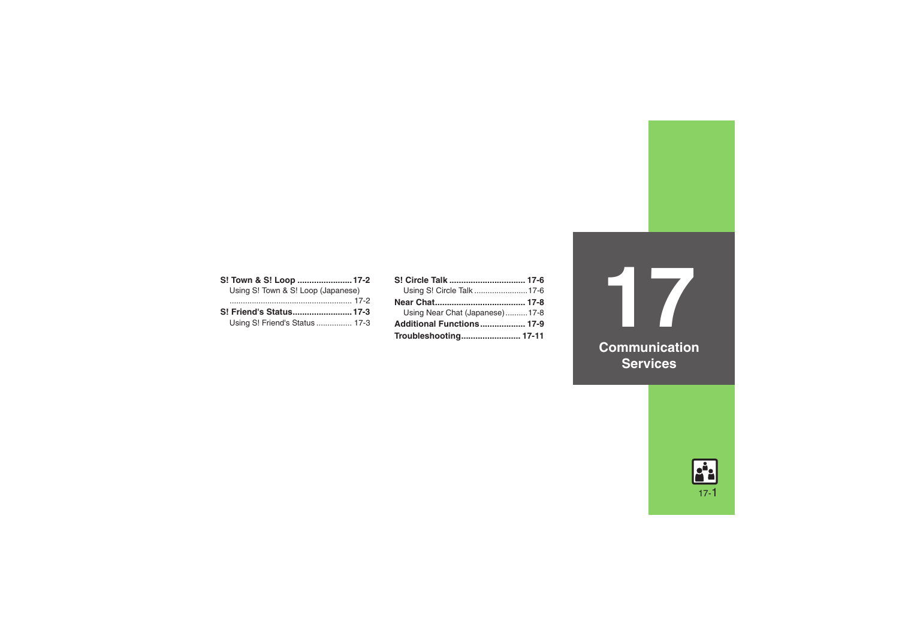| S! Town & S! Loop  17-2            |  |
|------------------------------------|--|
| Using S! Town & S! Loop (Japanese) |  |
|                                    |  |
| S! Friend's Status 17-3            |  |
| Using S! Friend's Status  17-3     |  |

| Using S! Circle Talk  17-6     |  |
|--------------------------------|--|
|                                |  |
| Using Near Chat (Japanese)17-8 |  |
| Additional Functions 17-9      |  |
|                                |  |

**17Communication Services**

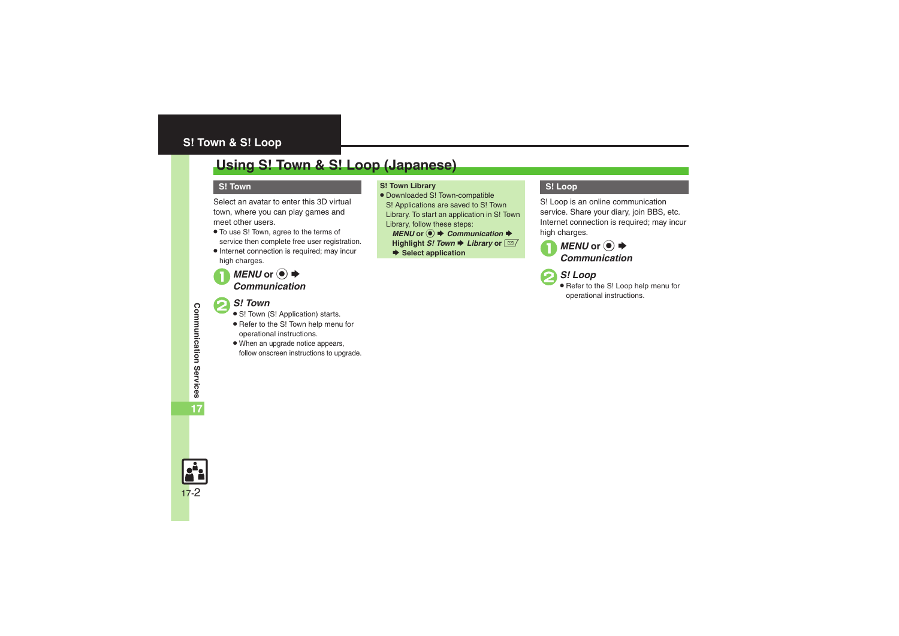### <span id="page-1-0"></span>**S! Town & S! Loop**

### <span id="page-1-1"></span>**Using S! Town & S! Loop (Japanese)**

#### **S! Town**

Select an avatar to enter this 3D virtual town, where you can play games and meet other users.

- . To use S! Town, agree to the terms of service then complete free user registration.
- . Internet connection is required; may incur high charges.

# *MENU* or **●**  $\rightarrow$  *Communication*

#### 2*S! Town* .

- S! Town (S! Application) starts.
- Refer to the S! Town help menu for operational instructions.
- . When an upgrade notice appears, follow onscreen instructions to upgrade.

#### **S! Town Library**

. Downloaded S! Town-compatible S! Applications are saved to S! Town Library. To start an application in S! Town Library, follow these steps:

 $MENU$  or  $\odot$   $\rightarrow$  *Communication*  $\rightarrow$ 

- **Highlight** *S!* **Town**  $\blacktriangleright$  **Library or**  $\boxed{\trianglelefteq}$
- $\rightarrow$  **Select application**

#### **S! Loop**

S! Loop is an online communication service. Share your diary, join BBS, etc. Internet connection is required; may incur high charges.



2*S! Loop* .

 Refer to the S! Loop help menu for operational instructions.

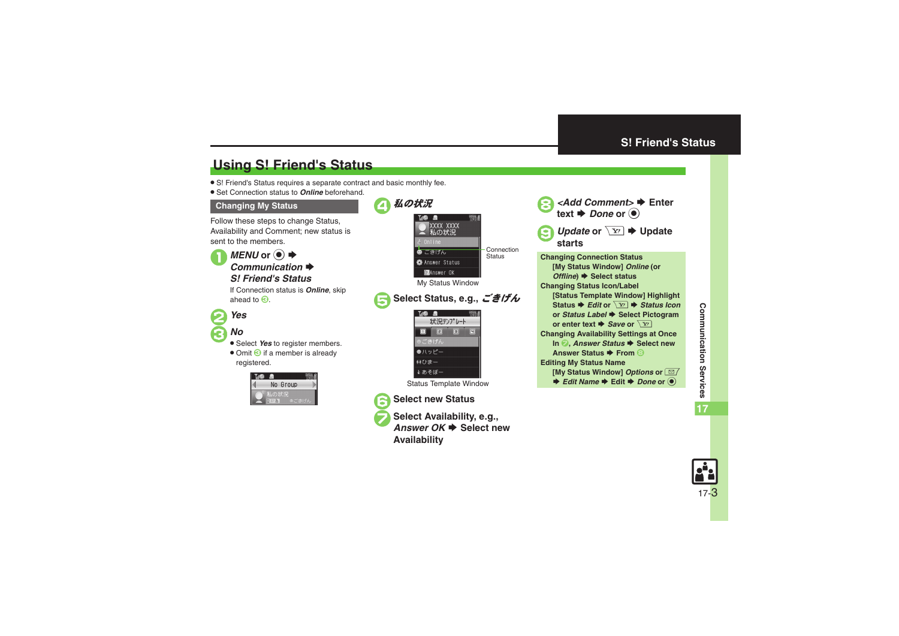### <span id="page-2-0"></span>**S! Friend's Status**

## <span id="page-2-1"></span>**Using S! Friend's Status**

- . S! Friend's Status requires a separate contract and basic monthly fee.
- . Set Connection status to *Online* beforehand.

#### <span id="page-2-2"></span>**Changing My Status**

Follow these steps to change Status, Availability and Comment; new status is sent to the members.



 $MENU$  or  $\odot$   $\blacklozenge$ Communication  $\Rightarrow$ 

### *S! Friend's Status*

If Connection status is *Online*, skip ahead to  $\Theta$ .



### 3*No*.

- **Select Yes to register members.**
- Omit **3** if a member is already registered.







**Select Availability, e.g.,** Answer OK **→** Select new **Availability**





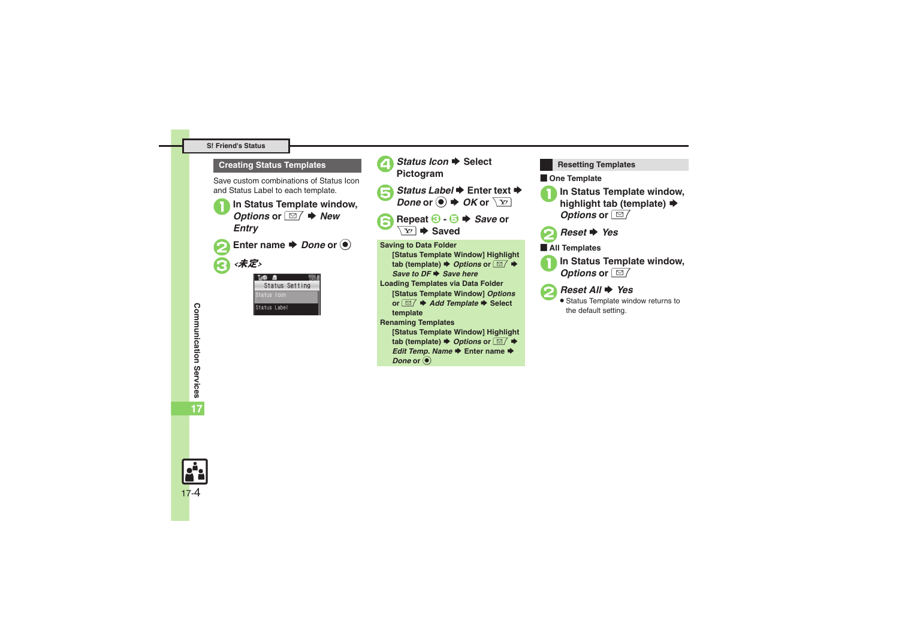#### **S! Friend's Status**

#### **Creating Status Templates**

Save custom combinations of Status Icon and Status Label to each template.









**1** Repeat **6**  $\cdot$  **5**  $\rightarrow$  *Save* or  $\overline{\chi}$ 

**Saving to Data Folder [Status Template Window] Highlight**   $\tanh$  (template)  $\blacktriangleright$  *Options* or  $\boxed{\trianglelefteq}$   $\blacktriangleright$ *Save to DF* ➡ *Save here* **Loading Templates via Data Folder [Status Template Window]** *Options* **or**  $\boxed{\textcircled{}}$  $\blacktriangleright$  **Add Template**  $\blacktriangleright$  Select **template Renaming Templates [Status Template Window] Highlight** 

 $\tanh$  (template)  $\rightarrow$  *Options* or  $\boxed{\text{S}}$   $\rightarrow$ 

*Edit Temp. Name* ♦ Enter name ♦

*Done* or  $\odot$ 

 $\blacksquare$  One Template **In Status Template window, highlight tab (template) →** *Options* or ⊠ *Reset* → *Yes* [ **All Templates In Status Template window,**<br>*Options* or **■** *Reset All* → *Yes*  Status Template window returns to the default setting. **Resetting Templates**

Communication Services **Communication Services 17**

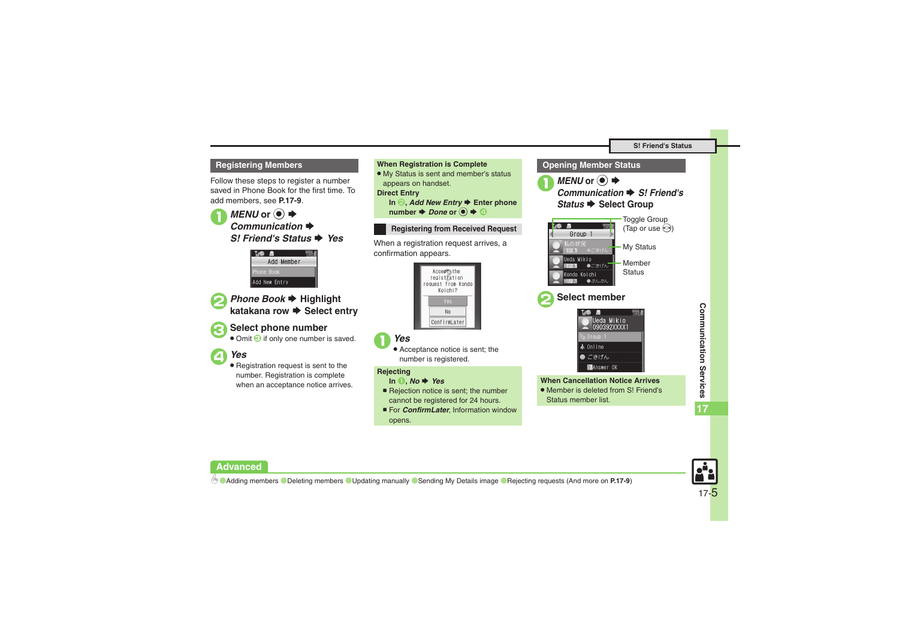#### **Registering Members When Registration is Complete**

Follow these steps to register a number saved in Phone Book for the first time. To add members, see **[P.17-9](#page-8-0)**.

**1***MENU* or ● ★ **Communication S! Friend's Status → Yes** 





**2** Phone Book  $\rightarrow$  Highlight **katakana row ➡ Select entry** 

### 3**Select phone number**

• Omit **G** if only one number is saved.

### 4*Yes*

. Registration request is sent to the number. Registration is complete when an acceptance notice arrives.



- 1*Yes*
	- . Acceptance notice is sent; the number is registered.

#### **Rejecting**

#### **In** 1**,** *No* S *Yes*

- Rejection notice is sent; the number cannot be registered for 24 hours.
- For *ConfirmLater*, Information window opens.





#### **Advanced**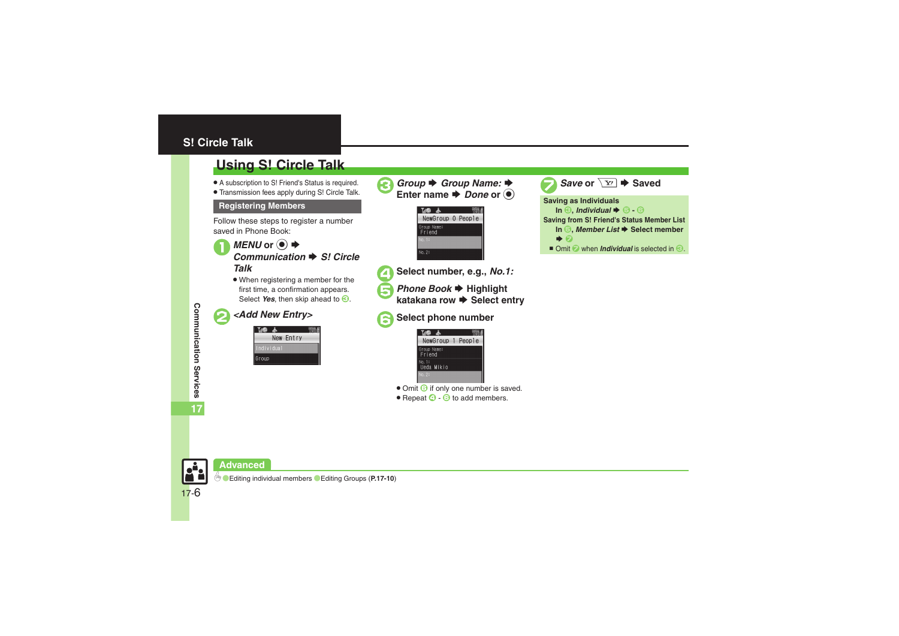### <span id="page-5-0"></span>**S! Circle Talk**

### <span id="page-5-1"></span>**Using S! Circle Talk**

- . A subscription to S! Friend's Status is required.
- . Transmission fees apply during S! Circle Talk.

Follow these steps to register a number saved in Phone Book:



. When registering a member for the first time, a confirmation appears. Select *Yes*, then skip ahead to  $\Theta$ .

### 2*<Add New Entry>*

|            | New Entry |  |
|------------|-----------|--|
| Individual |           |  |
| Group      |           |  |
|            |           |  |

*Group* **→** *Group Name:* **→** Enter name  $\rightarrow$  *Done* or  $\odot$ 





- 4**Select number, e.g.,** *No.1:*
- *Phone Book* → Highlight<br>katakana row → Select entry
- 6**Select phone number**



- **.** Omit **b** if only one number is saved.
- $\bullet$  Repeat  $\odot$   $\odot$  to add members.





17-6

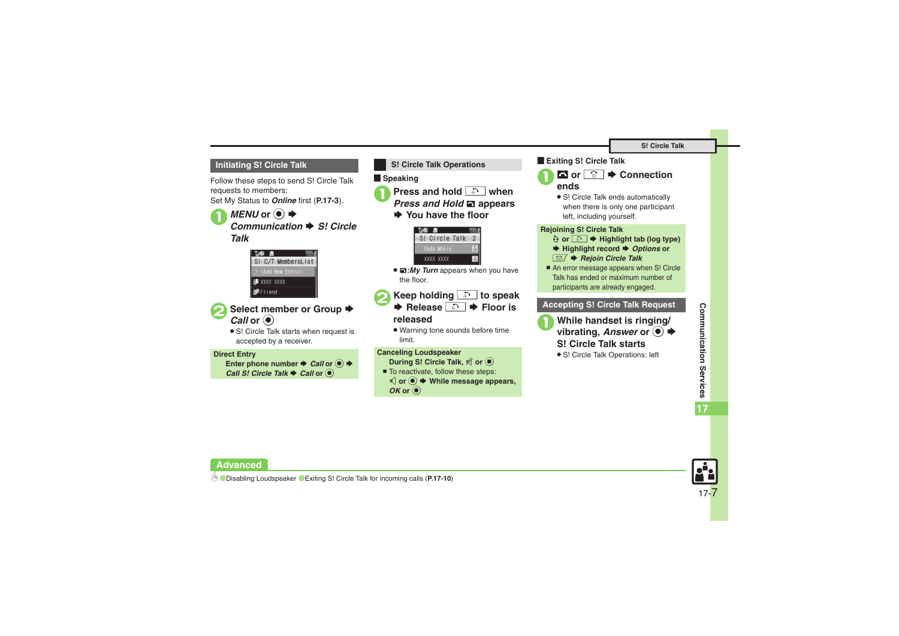#### **Initiating S! Circle Talk**

Follow these steps to send S! Circle Talk requests to members: Set My Status to *Online* first (**[P.17-3](#page-2-2)**).

### **1***MENU* or ● ★ **Communication → S! Circle** *Talk*





### ■ Select member or Group **→** *Call* or  $\odot$

• S! Circle Talk starts when request is accepted by a receiver.

#### **Direct Entry**

**Enter phone number ♦** *Call* **or ● ♦** *Call S! Circle Talk ♦ Call or* ●



- **1Press and hold a** when
	- *Press and Hold* **ଇ** appears
	- $\rightarrow$  **You have the floor**



. <sup>e</sup>*:My Turn* appears when you have the floor.

**2Keep holding 3** to speak  $\blacktriangleright$  **Release <u>∴</u>**  $\blacktriangleright$  **Floor is** 

### **released**

. Warning tone sounds before time limit.

#### **Canceling Loudspeaker**

- **During S! Circle Talk,**  A **or**  %
- To reactivate, follow these steps: D **or**  % S **While message appears,**   $OK$  or  $\odot$



 $\mathbf 0$ 



• S! Circle Talk ends automatically when there is only one participant left, including yourself.

#### **Rejoining S! Circle Talk**

- & **or**  !S **Highlight tab (log type)**
- ◆ Highlight record ◆ Options or BS *Rejoin Circle Talk*
- An error message appears when S! Circle Talk has ended or maximum number of participants are already engaged.

### **Accepting S! Circle Talk Request**

**While handset is ringing/**  $\textcolor{blue}{\bullet}\bullet$ **S! Circle Talk starts**

**17**

**•** S! Circle Talk Operations: left

17-7

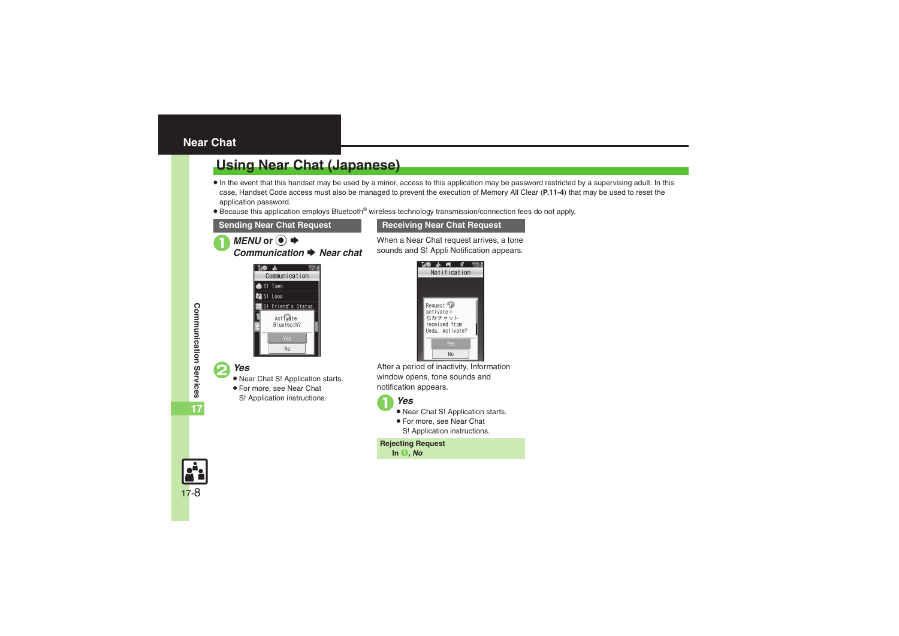### <span id="page-7-1"></span><span id="page-7-0"></span>**Using Near Chat (Japanese)**

- $\bullet$  In the event that this handset may be used by a minor, access to this application may be password restricted by a supervising adult. In this case, Handset Code access must also be managed to prevent the execution of Memory All Clear (**P.11-4**) that may be used to reset the application password.
- Because this application employs Bluetooth<sup>®</sup> wireless technology transmission/connection fees do not apply.

#### **Sending Near Chat Request <b>Receiving Near Chat Request**

 $MENU$  or  $\odot$   $\blacklozenge$ *n* ➡ Near chat



#### 2*Yes* .

- Near Chat S! Application starts.
- . For more, see Near Chat
- S! Application instructions.



When a Near Chat request arrives, a tone sounds and S! Appli Notification appears.

After a period of inactivity, Information window opens, tone sounds and notification appears.

1*Yes* .

- Near Chat S! Application starts.
- . For more, see Near Chat S! Application instructions.

**Rejecting Request In** 1**,** *No*



Communication Services **Communication Services 17**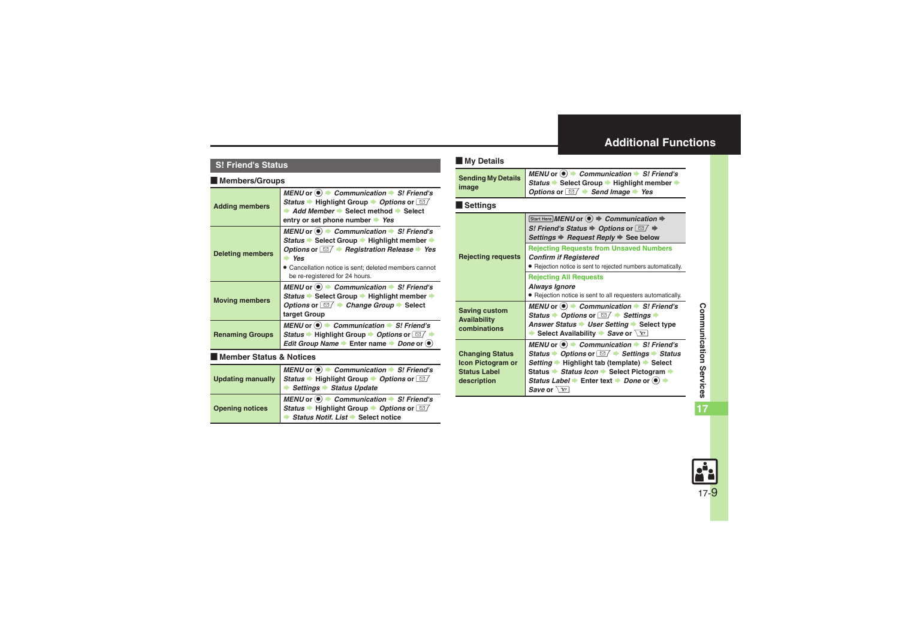### <span id="page-8-0"></span>**Additional Functions**

#### **S! Friend's Status**

#### [ **Members/Groups**

<span id="page-8-2"></span><span id="page-8-1"></span>

| <b>Adding members</b>              | MENU or $\textcircled{\textcircled{\textcirc}}$ $\blacktriangleright$ Communication $\blacktriangleright$ S! Friend's<br><i>Status</i> → Highlight Group → <i>Options</i> or $\boxed{\simeq}$<br>Add Member Select method Select<br>entry or set phone number Yes                                                                      |
|------------------------------------|----------------------------------------------------------------------------------------------------------------------------------------------------------------------------------------------------------------------------------------------------------------------------------------------------------------------------------------|
| <b>Deleting members</b>            | MENU or $\textcircled{\textcircled{\textcirc}}$ $\blacktriangleright$ Communication $\blacktriangleright$ S! Friend's<br><i>Status</i> → Select Group → Highlight member →<br>Options or $\Box$ Registration Release $\rightarrow$ Yes<br>Yes<br>Cancellation notice is sent: deleted members cannot<br>be re-registered for 24 hours. |
| <b>Moving members</b>              | MENU or $\odot$ $\rightarrow$ Communication $\rightarrow$ S! Friend's<br>Status → Select Group → Highlight member →<br>Options or $\Box$ $\rightarrow$ Change Group $\rightarrow$ Select<br>target Group                                                                                                                               |
| <b>Renaming Groups</b>             | MENU or $\left( \bullet \right)$ $\Rightarrow$ Communication $\Rightarrow$ S! Friend's<br>Status $\blacktriangleright$ Highlight Group $\blacktriangleright$ Options or $\Box$<br>Edit Group Name $\blacktriangleright$ Enter name $\blacktriangleright$ Done or $\blacklozenge$                                                       |
| <b>Member Status &amp; Notices</b> |                                                                                                                                                                                                                                                                                                                                        |
|                                    | $MFMIL_{\alpha\alpha} \bigotimes_{\alpha} A$ Communication $\triangle$ CLEsiandia                                                                                                                                                                                                                                                      |

<span id="page-8-3"></span>

|                        | <i>MENU</i> or ● <i>Communication</i> ▶ <i>S! Friend's</i><br>Updating manually Status ▶ Highlight Group ▶ <i>Options</i> or <b><i>all</i></b><br>Settings ▶ Status Update                          |
|------------------------|-----------------------------------------------------------------------------------------------------------------------------------------------------------------------------------------------------|
| <b>Opening notices</b> | MENU or $\circledast \diamond$ Communication $\bullet$ S! Friend's<br>Status $\bullet$ Highlight Group $\bullet$ Options or $\boxed{\cong}$<br>$\bullet$ Status Notif. List $\bullet$ Select notice |

#### <span id="page-8-5"></span><span id="page-8-4"></span>[ **My Details** [ **Settings Sending My Details image**  $MENU$  or  $\odot$   $\rightarrow$  *Communication*  $\rightarrow$  *S! Friend's* **Status → Select Group → Highlight member →** *Options* or  $\boxed{\text{S}}$  **→ Send Image** → Yes **Rejecting requests**  $[Start Here] **MENT** or  $\hat{\bullet}$   $\Rightarrow$  **Communication**  $\Rightarrow$$ *S! Friend's Status* ♦ *Options* or  $\textcolor{red}{\boxtimes\sqrt{}}$  ♦ *Settings* ♦ *Request Reply* ♦ See below **Rejecting Requests from Unsaved Numbers** *Confirm if Registered* . Rejection notice is sent to rejected numbers automatically. **Rejecting All Requests** *Always Ignore* . Rejection notice is sent to all requesters automatically. **Saving custom Availability combinations** $MENU$  or  $\odot$   $\rightarrow$  *Communication*  $\rightarrow$  *S! Friend's Status* ▶ *Options* or *⊠* ▶ *Settings* ▶ **Answer Status** • User Setting • Select type  $\blacktriangleright$  Select Availability  $\blacktriangleright$  *Save* or  $\boxed{Y}$ **Changing Status Icon Pictogram or Status Label description**  $MENU$  or  $\odot$   $\rightarrow$  *Communication*  $\rightarrow$  *S! Friend's Status* ▶ *Options* or  $\boxed{\triangle}$  **▶ Settings ▶ Status** *Setting* ▶ Highlight tab (template) ▶ Select **Status → Status Icon → Select Pictogram → Status Label**  $\blacktriangleright$  Enter text  $\blacktriangleright$  *Done* or  $\textcircled{\blacklozenge}$   $\blacktriangleright$ *Save* or  $\sqrt{Y}$

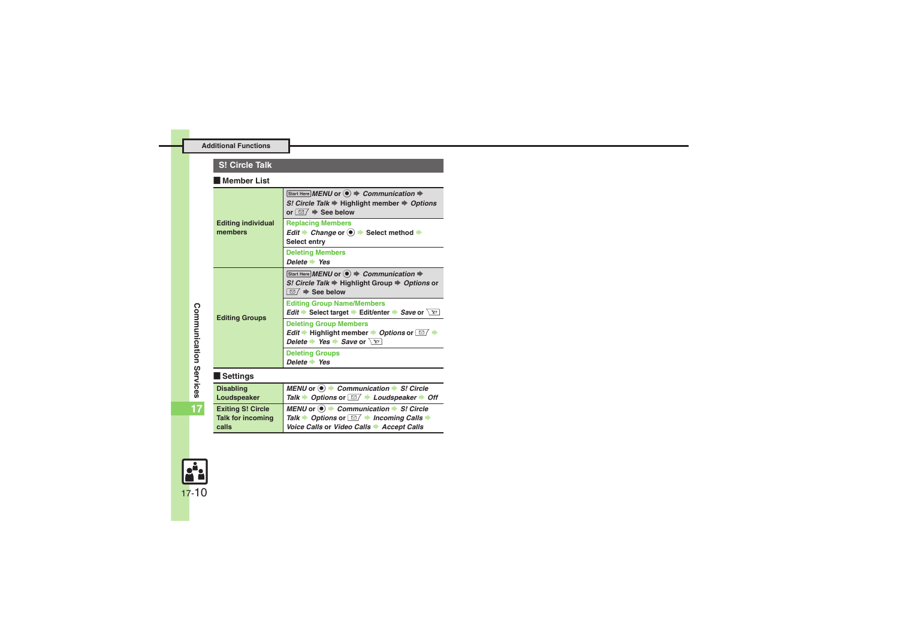#### **S! Circle Talk**

#### [ **Member List**

<span id="page-9-0"></span>

| <b>Editing individual</b><br>members                   | Start Here MENU or $\textcircled{\textbf{}} \Rightarrow$ Communication $\Rightarrow$<br>S! Circle Talk $\Rightarrow$ Highlight member $\Rightarrow$ Options<br>or $\Box$ $\Rightarrow$ See below                             |
|--------------------------------------------------------|------------------------------------------------------------------------------------------------------------------------------------------------------------------------------------------------------------------------------|
|                                                        | <b>Replacing Members</b><br>Edit $\rightarrow$ Change or $\odot$ $\rightarrow$ Select method $\rightarrow$<br>Select entry                                                                                                   |
|                                                        | <b>Deleting Members</b><br>Delete $\rightarrow$ Yes                                                                                                                                                                          |
| <b>Editing Groups</b>                                  | Start Here MENU or $\left( \bullet \right) \Rightarrow$ Communication $\Rightarrow$<br>S! Circle Talk → Highlight Group → Options or<br>$\overline{\mathfrak{D}}$ $\rightarrow$ See below                                    |
|                                                        | <b>Editing Group Name/Members</b><br><i>Edit</i> Select target Edit/enter Save or $\setminus$ Y'                                                                                                                             |
|                                                        | <b>Deleting Group Members</b><br>Edit $\rightarrow$ Highlight member $\rightarrow$ Options or $\boxed{\simeq}$ $\rightarrow$<br>Delete $\rightarrow$ Yes $\rightarrow$ Save or $\sqrt{Y}$                                    |
|                                                        | <b>Deleting Groups</b><br>Delete $\rightarrow$ Yes                                                                                                                                                                           |
| Settings                                               |                                                                                                                                                                                                                              |
| <b>Disabling</b><br>Loudspeaker                        | MENU or $\odot$ $\blacktriangleright$ Communication $\blacktriangleright$ S! Circle<br>Talk $\rightarrow$ Options or $\boxed{\cong}$ $\rightarrow$ Loudspeaker $\rightarrow$ Off                                             |
| <b>Exiting S! Circle</b><br>Talk for incoming<br>calls | MENU or $\odot$ $\blacktriangleright$ Communication $\blacktriangleright$ S! Circle<br>Talk $\rightarrow$ Options or $\boxed{\cong}$ $\rightarrow$ Incoming Calls $\rightarrow$<br>Voice Calls or Video Calls → Accept Calls |

<span id="page-9-3"></span><span id="page-9-2"></span><span id="page-9-1"></span>**17**